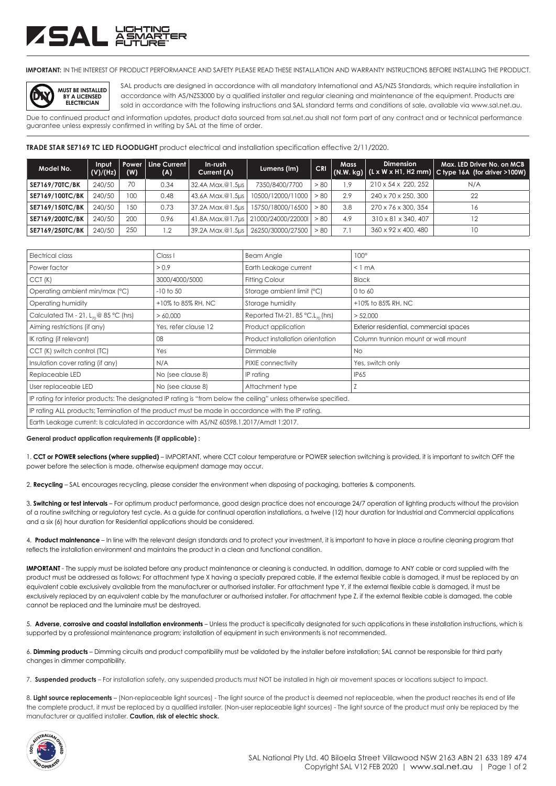# ZSAL XW

**IMPORTANT:** IN THE INTEREST OF PRODUCT PERFORMANCE AND SAFETY PLEASE READ THESE INSTALLATION AND WARRANTY INSTRUCTIONS BEFORE INSTALLING THE PRODUCT.



SAL products are designed in accordance with all mandatory International and AS/NZS Standards, which require installation in accordance with AS/NZS3000 by a qualified installer and regular cleaning and maintenance of the equipment. Products are sold in accordance with the following instructions and SAL standard terms and conditions of sale, available via www.sal.net.au.

Due to continued product and information updates, product data sourced from sal.net.au shall not form part of any contract and or technical performance guarantee unless expressly confirmed in writing by SAL at the time of order.

**TRADE STAR SE7169 TC LED FLOODLIGHT** product electrical and installation specification effective 2/11/2020.

| Model No.             | Input<br>(V)/(Hz) | (W) | Power   Line Current  <br>(A) | In-rush<br>Current (A) | Lumens (Im)                           | <b>CRI</b> | <b>Mass</b> | <b>Dimension</b>    | Max. LED Driver No. on MCB<br>$(N.W. kg)$ (L x W x H1, H2 mm) C type 16A (for driver >100W) |
|-----------------------|-------------------|-----|-------------------------------|------------------------|---------------------------------------|------------|-------------|---------------------|---------------------------------------------------------------------------------------------|
| <b>SE7169/70TC/BK</b> | 240/50            | 70  | 0.34                          | 32.4A Max.@1.5µs       | 7350/8400/7700                        | > 80       | 1.9         | 210 x 54 x 220, 252 | N/A                                                                                         |
| SE7169/100TC/BK       | 240/50            | 100 | 0.48                          |                        | 43.6A Max.@1.5µs   10500/12000/11000  | > 80       | 2.9         | 240 x 70 x 250, 300 | 22                                                                                          |
| SE7169/150TC/BK       | 240/50            | 150 | 0.73                          |                        | 37.2A Max.@1.5µs   15750/18000/16500  | > 80       | 3.8         | 270 x 76 x 300, 354 | 16                                                                                          |
| SE7169/200TC/BK       | 240/50            | 200 | 0.96                          |                        | 41.8A Max.@1.7us   21000/24000/220001 | > 80       | 4.9         | 310 x 81 x 340, 407 | 12                                                                                          |
| SE7169/250TC/BK       | 240/50            | 250 | $\overline{1.2}$              |                        | 39.2A Max.@1.5µs   26250/30000/27500  | > 80       | 7.1         | 360 x 92 x 400, 480 | 10                                                                                          |

| Electrical class                                                                                                  | Class I              | <b>Beam Angle</b>                               | $100^\circ$                             |  |  |  |  |
|-------------------------------------------------------------------------------------------------------------------|----------------------|-------------------------------------------------|-----------------------------------------|--|--|--|--|
| Power factor                                                                                                      | > 0.9                | Earth Leakage current                           | $< 1$ mA                                |  |  |  |  |
| CCT(K)                                                                                                            | 3000/4000/5000       | <b>Fitting Colour</b>                           | <b>Black</b>                            |  |  |  |  |
| Operating ambient min/max (°C)                                                                                    | $-10$ to $50$        | Storage ambient limit (°C)                      | 0 to 60                                 |  |  |  |  |
| Operating humidity                                                                                                | +10% to 85% RH, NC   | Storage humidity                                | +10% to 85% RH, NC                      |  |  |  |  |
| Calculated TM - 21, $L_{70}$ @ 85 °C (hrs)                                                                        | > 60,000             | Reported TM-21, 85 $°C$ , L <sub>70</sub> (hrs) | > 52,000                                |  |  |  |  |
| Aiming restrictions (if any)                                                                                      | Yes, refer clause 12 | Product application                             | Exterior residential, commercial spaces |  |  |  |  |
| IK rating (if relevant)                                                                                           | 08                   | Product installation orientation                | Column trunnion mount or wall mount     |  |  |  |  |
| CCT (K) switch control (TC)                                                                                       | Yes                  | Dimmable                                        | No.                                     |  |  |  |  |
| Insulation cover rating (if any)                                                                                  | N/A                  | PIXIE connectivity                              | Yes, switch only                        |  |  |  |  |
| Replaceable LED                                                                                                   | No (see clause 8)    | IP rating                                       | IP65                                    |  |  |  |  |
| User replaceable LED                                                                                              | No (see clause 8)    | Attachment type                                 |                                         |  |  |  |  |
| IP rating for interior products: The designated IP rating is "from below the ceiling" unless otherwise specified. |                      |                                                 |                                         |  |  |  |  |
| IP rating ALL products; Termination of the product must be made in accordance with the IP rating.                 |                      |                                                 |                                         |  |  |  |  |
| Earth Leakage current: Is calculated in accordance with AS/NZ 60598.1.2017/Amdt 1:2017.                           |                      |                                                 |                                         |  |  |  |  |

#### **General product application requirements (if applicable) :**

1. **CCT or POWER selections (where supplied)** – IMPORTANT, where CCT colour temperature or POWER selection switching is provided, it is important to switch OFF the power before the selection is made, otherwise equipment damage may occur.

2. **Recycling** – SAL encourages recycling, please consider the environment when disposing of packaging, batteries & components.

3. **Switching or test intervals** – For optimum product performance, good design practice does not encourage 24/7 operation of lighting products without the provision of a routine switching or regulatory test cycle. As a guide for continual operation installations, a twelve (12) hour duration for Industrial and Commercial applications and a six (6) hour duration for Residential applications should be considered.

4. **Product maintenance** – In line with the relevant design standards and to protect your investment, it is important to have in place a routine cleaning program that reflects the installation environment and maintains the product in a clean and functional condition.

**IMPORTANT** - The supply must be isolated before any product maintenance or cleaning is conducted. In addition, damage to ANY cable or cord supplied with the product must be addressed as follows; For attachment type X having a specially prepared cable, if the external flexible cable is damaged, it must be replaced by an equivalent cable exclusively available from the manufacturer or authorised installer. For attachment type Y, if the external flexible cable is damaged, it must be exclusively replaced by an equivalent cable by the manufacturer or authorised installer. For attachment type Z, if the external flexible cable is damaged, the cable cannot be replaced and the luminaire must be destroyed.

5. **Adverse, corrosive and coastal installation environments** – Unless the product is specifically designated for such applications in these installation instructions, which is supported by a professional maintenance program; installation of equipment in such environments is not recommended.

6. **Dimming products** – Dimming circuits and product compatibility must be validated by the installer before installation; SAL cannot be responsible for third party changes in dimmer compatibility.

7. **Suspended products** – For installation safety, any suspended products must NOT be installed in high air movement spaces or locations subject to impact.

8. **Light source replacements** – (Non-replaceable light sources) - The light source of the product is deemed not replaceable, when the product reaches its end of life the complete product, it must be replaced by a qualified installer. (Non-user replaceable light sources) - The light source of the product must only be replaced by the manufacturer or qualified installer. **Caution, risk of electric shock.**